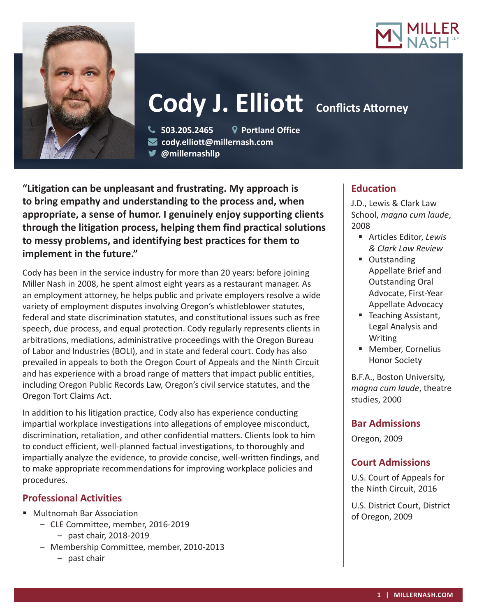



# **Cody J. Elliott** Conflicts Attorney

 **503.205.2465 Portland Office cody.elliott@millernash.com** 

**@millernashllp** 

**"Litigation can be unpleasant and frustrating. My approach is to bring empathy and understanding to the process and, when appropriate, a sense of humor. I genuinely enjoy supporting clients through the litigation process, helping them find practical solutions to messy problems, and identifying best practices for them to implement in the future."**

Cody has been in the service industry for more than 20 years: before joining Miller Nash in 2008, he spent almost eight years as a restaurant manager. As an employment attorney, he helps public and private employers resolve a wide variety of employment disputes involving Oregon's whistleblower statutes, federal and state discrimination statutes, and constitutional issues such as free speech, due process, and equal protection. Cody regularly represents clients in arbitrations, mediations, administrative proceedings with the Oregon Bureau of Labor and Industries (BOLI), and in state and federal court. Cody has also prevailed in appeals to both the Oregon Court of Appeals and the Ninth Circuit and has experience with a broad range of matters that impact public entities, including Oregon Public Records Law, Oregon's civil service statutes, and the Oregon Tort Claims Act.

In addition to his litigation practice, Cody also has experience conducting impartial workplace investigations into allegations of employee misconduct, discrimination, retaliation, and other confidential matters. Clients look to him to conduct efficient, well-planned factual investigations, to thoroughly and impartially analyze the evidence, to provide concise, well-written findings, and to make appropriate recommendations for improving workplace policies and procedures.

# **Professional Activities**

- Multnomah Bar Association
	- CLE Committee, member, 2016-2019 – past chair, 2018-2019
	- Membership Committee, member, 2010-2013
		- past chair

# **Education**

J.D., Lewis & Clark Law School, *magna cum laude*, 2008

- Articles Editor, *Lewis & Clark Law Review*
- Outstanding Appellate Brief and Outstanding Oral Advocate, First-Year Appellate Advocacy
- Teaching Assistant, Legal Analysis and Writing
- Member, Cornelius Honor Society

B.F.A., Boston University, *magna cum laude*, theatre studies, 2000

# **Bar Admissions**

Oregon, 2009

# **Court Admissions**

U.S. Court of Appeals for the Ninth Circuit, 2016

U.S. District Court, District of Oregon, 2009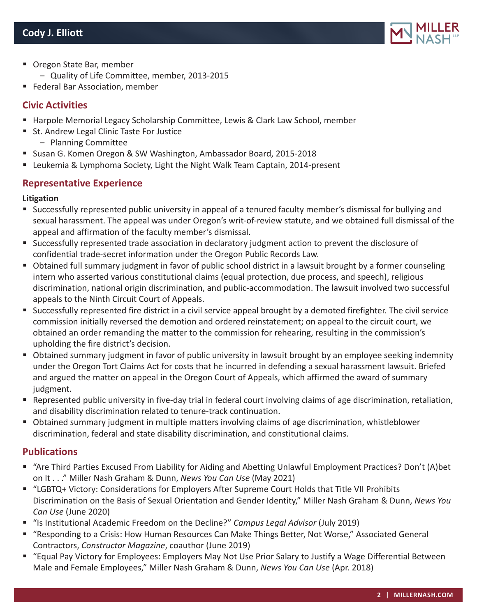

- Oregon State Bar, member
	- Quality of Life Committee, member, 2013-2015
- Federal Bar Association, member

# **Civic Activities**

- Harpole Memorial Legacy Scholarship Committee, Lewis & Clark Law School, member
- St. Andrew Legal Clinic Taste For Justice
	- Planning Committee
- **Susan G. Komen Oregon & SW Washington, Ambassador Board, 2015-2018**
- **EXEL A.** Leukemia & Lymphoma Society, Light the Night Walk Team Captain, 2014-present

# **Representative Experience**

#### **Litigation**

- Successfully represented public university in appeal of a tenured faculty member's dismissal for bullying and sexual harassment. The appeal was under Oregon's writ-of-review statute, and we obtained full dismissal of the appeal and affirmation of the faculty member's dismissal.
- Successfully represented trade association in declaratory judgment action to prevent the disclosure of confidential trade-secret information under the Oregon Public Records Law.
- Obtained full summary judgment in favor of public school district in a lawsuit brought by a former counseling intern who asserted various constitutional claims (equal protection, due process, and speech), religious discrimination, national origin discrimination, and public-accommodation. The lawsuit involved two successful appeals to the Ninth Circuit Court of Appeals.
- Successfully represented fire district in a civil service appeal brought by a demoted firefighter. The civil service commission initially reversed the demotion and ordered reinstatement; on appeal to the circuit court, we obtained an order remanding the matter to the commission for rehearing, resulting in the commission's upholding the fire district's decision.
- Obtained summary judgment in favor of public university in lawsuit brought by an employee seeking indemnity under the Oregon Tort Claims Act for costs that he incurred in defending a sexual harassment lawsuit. Briefed and argued the matter on appeal in the Oregon Court of Appeals, which affirmed the award of summary judgment.
- Represented public university in five-day trial in federal court involving claims of age discrimination, retaliation, and disability discrimination related to tenure-track continuation.
- Obtained summary judgment in multiple matters involving claims of age discrimination, whistleblower discrimination, federal and state disability discrimination, and constitutional claims.

# **Publications**

- "Are Third Parties Excused From Liability for Aiding and Abetting Unlawful Employment Practices? Don't (A)bet on It . . ." Miller Nash Graham & Dunn, *News You Can Use* (May 2021)
- "LGBTQ+ Victory: Considerations for Employers After Supreme Court Holds that Title VII Prohibits Discrimination on the Basis of Sexual Orientation and Gender Identity," Miller Nash Graham & Dunn, *News You Can Use* (June 2020)
- "Is Institutional Academic Freedom on the Decline?" *Campus Legal Advisor* (July 2019)
- "Responding to a Crisis: How Human Resources Can Make Things Better, Not Worse," Associated General Contractors, *Constructor Magazine*, coauthor (June 2019)
- "Equal Pay Victory for Employees: Employers May Not Use Prior Salary to Justify a Wage Differential Between Male and Female Employees," Miller Nash Graham & Dunn, *News You Can Use* (Apr. 2018)